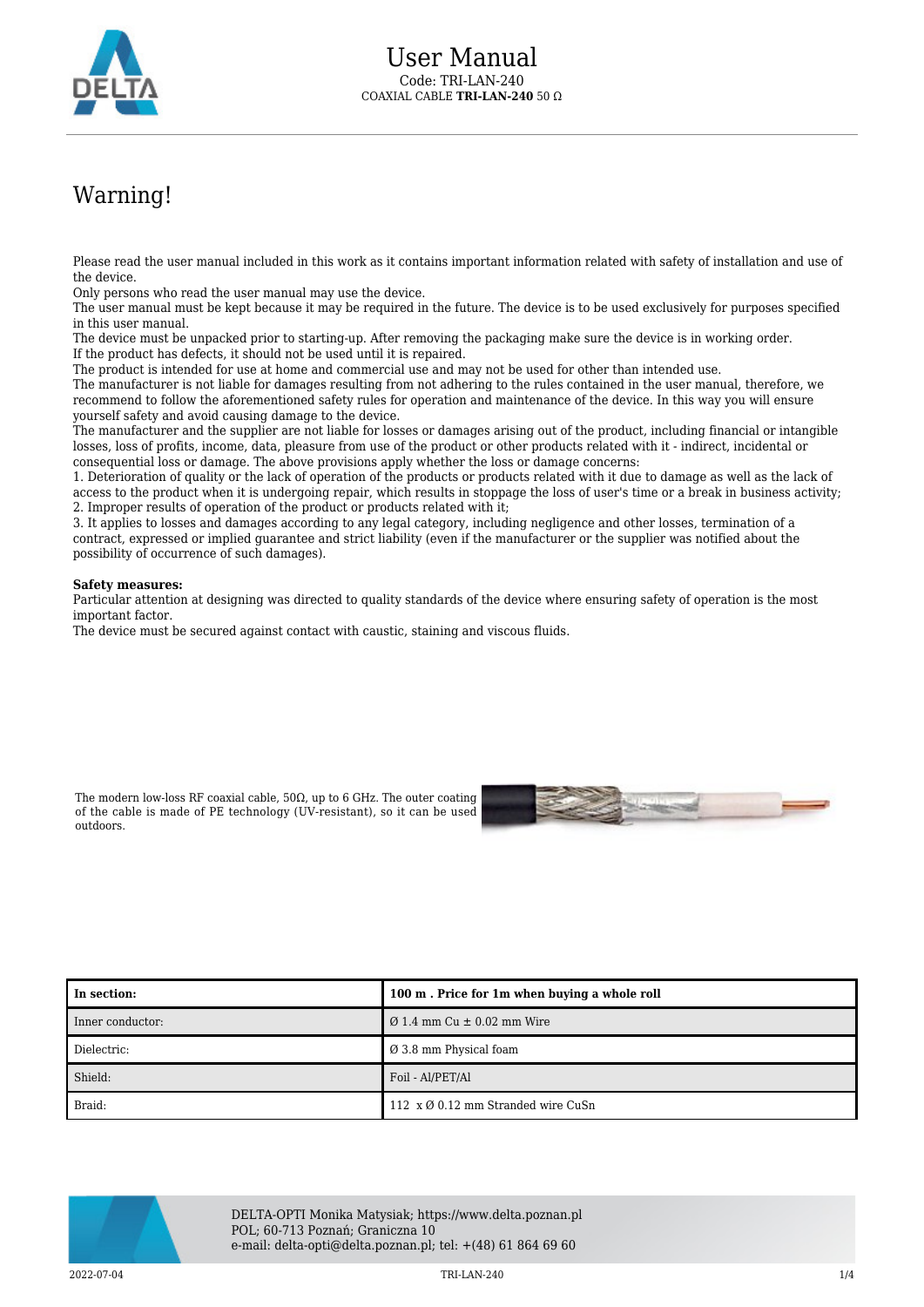

## Warning!

Please read the user manual included in this work as it contains important information related with safety of installation and use of the device.

Only persons who read the user manual may use the device.

The user manual must be kept because it may be required in the future. The device is to be used exclusively for purposes specified in this user manual.

The device must be unpacked prior to starting-up. After removing the packaging make sure the device is in working order. If the product has defects, it should not be used until it is repaired.

The product is intended for use at home and commercial use and may not be used for other than intended use.

The manufacturer is not liable for damages resulting from not adhering to the rules contained in the user manual, therefore, we recommend to follow the aforementioned safety rules for operation and maintenance of the device. In this way you will ensure yourself safety and avoid causing damage to the device.

The manufacturer and the supplier are not liable for losses or damages arising out of the product, including financial or intangible losses, loss of profits, income, data, pleasure from use of the product or other products related with it - indirect, incidental or consequential loss or damage. The above provisions apply whether the loss or damage concerns:

1. Deterioration of quality or the lack of operation of the products or products related with it due to damage as well as the lack of access to the product when it is undergoing repair, which results in stoppage the loss of user's time or a break in business activity; 2. Improper results of operation of the product or products related with it;

3. It applies to losses and damages according to any legal category, including negligence and other losses, termination of a contract, expressed or implied guarantee and strict liability (even if the manufacturer or the supplier was notified about the possibility of occurrence of such damages).

## **Safety measures:**

Particular attention at designing was directed to quality standards of the device where ensuring safety of operation is the most important factor.

The device must be secured against contact with caustic, staining and viscous fluids.

The modern low-loss RF coaxial cable,  $50Ω$ , up to 6 GHz. The outer coating of the cable is made of PE technology (UV-resistant), so it can be used outdoors.



| l In section:    | 100 m. Price for 1m when buying a whole roll   |  |
|------------------|------------------------------------------------|--|
| Inner conductor: | $\varnothing$ 1.4 mm Cu $\pm$ 0.02 mm Wire     |  |
| Dielectric:      | $\varnothing$ 3.8 mm Physical foam             |  |
| Shield:          | Foil - Al/PET/Al                               |  |
| Braid:           | 112 $x \varnothing$ 0.12 mm Stranded wire CuSn |  |



DELTA-OPTI Monika Matysiak; https://www.delta.poznan.pl POL; 60-713 Poznań; Graniczna 10 e-mail: delta-opti@delta.poznan.pl; tel: +(48) 61 864 69 60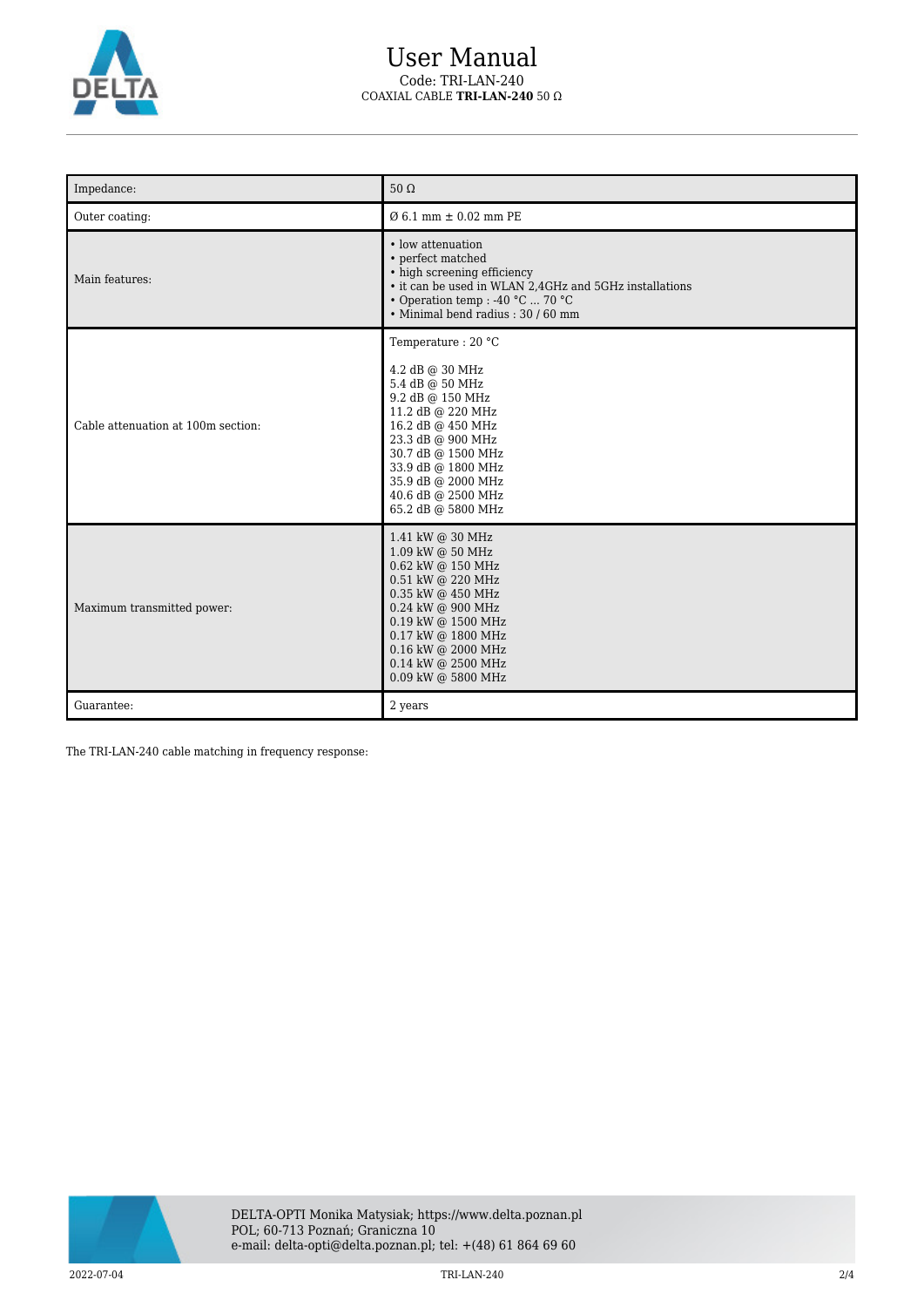

## User Manual Code: TRI-LAN-240 COAXIAL CABLE **TRI-LAN-240** 50 Ω

| Impedance:                         | $50 \Omega$                                                                                                                                                                                                                                               |  |  |
|------------------------------------|-----------------------------------------------------------------------------------------------------------------------------------------------------------------------------------------------------------------------------------------------------------|--|--|
| Outer coating:                     | $0.61$ mm $\pm 0.02$ mm PE                                                                                                                                                                                                                                |  |  |
| Main features:                     | • low attenuation<br>• perfect matched<br>• high screening efficiency<br>• it can be used in WLAN 2,4GHz and 5GHz installations<br>• Operation temp : -40 °C  70 °C<br>· Minimal bend radius: 30 / 60 mm                                                  |  |  |
| Cable attenuation at 100m section: | Temperature: 20 °C<br>4.2 dB @ 30 MHz<br>5.4 dB @ 50 MHz<br>9.2 dB @ 150 MHz<br>11.2 dB @ 220 MHz<br>16.2 dB @ 450 MHz<br>23.3 dB @ 900 MHz<br>30.7 dB @ 1500 MHz<br>33.9 dB @ 1800 MHz<br>35.9 dB @ 2000 MHz<br>40.6 dB @ 2500 MHz<br>65.2 dB @ 5800 MHz |  |  |
| Maximum transmitted power:         | 1.41 kW @ 30 MHz<br>1.09 kW @ 50 MHz<br>0.62 kW @ 150 MHz<br>0.51 kW @ 220 MHz<br>0.35 kW @ 450 MHz<br>0.24 kW @ 900 MHz<br>0.19 kW @ 1500 MHz<br>0.17 kW @ 1800 MHz<br>0.16 kW @ 2000 MHz<br>0.14 kW @ 2500 MHz<br>0.09 kW @ 5800 MHz                    |  |  |
| Guarantee:                         | 2 years                                                                                                                                                                                                                                                   |  |  |

The TRI-LAN-240 cable matching in frequency response:

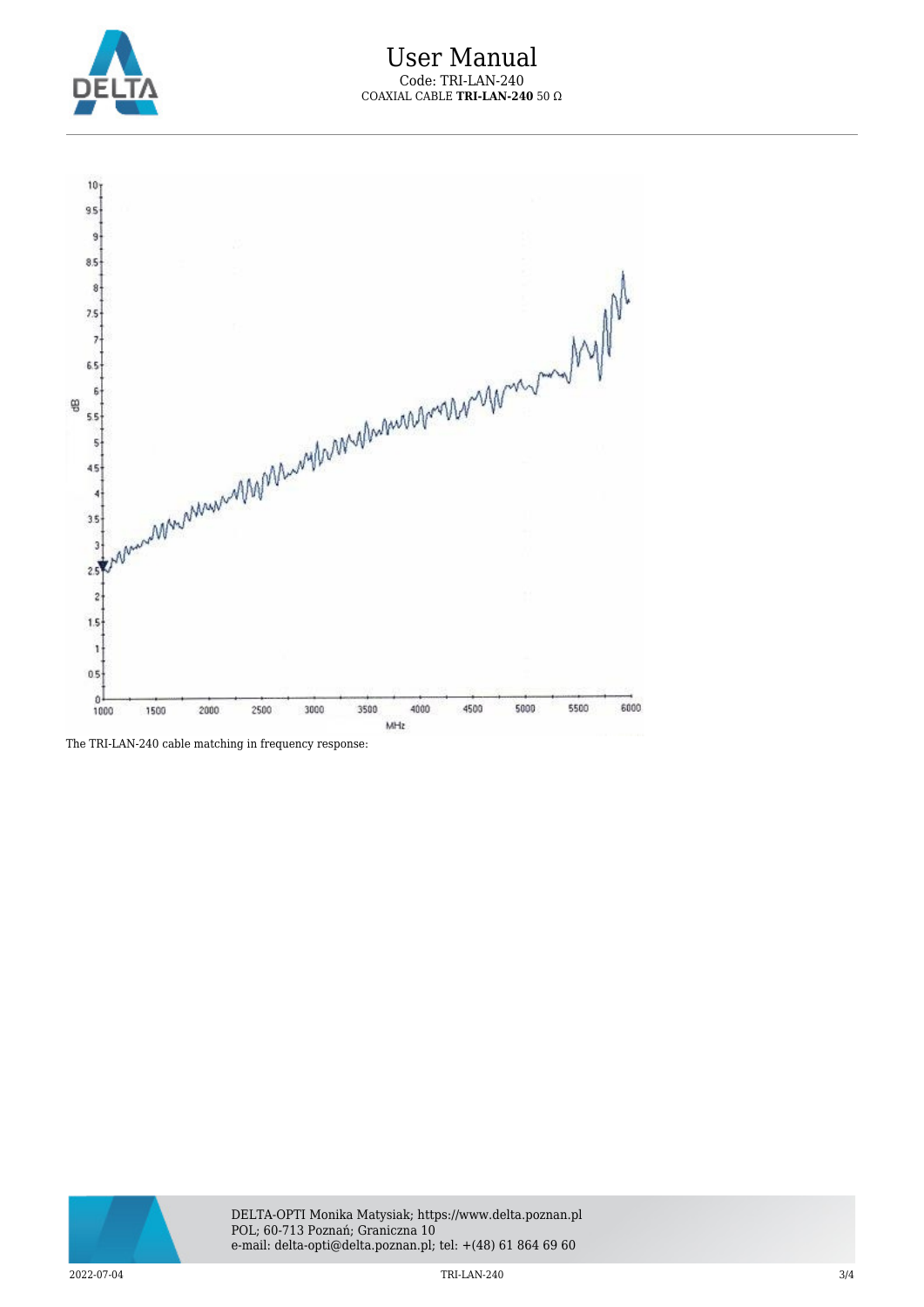



The TRI-LAN-240 cable matching in frequency response: